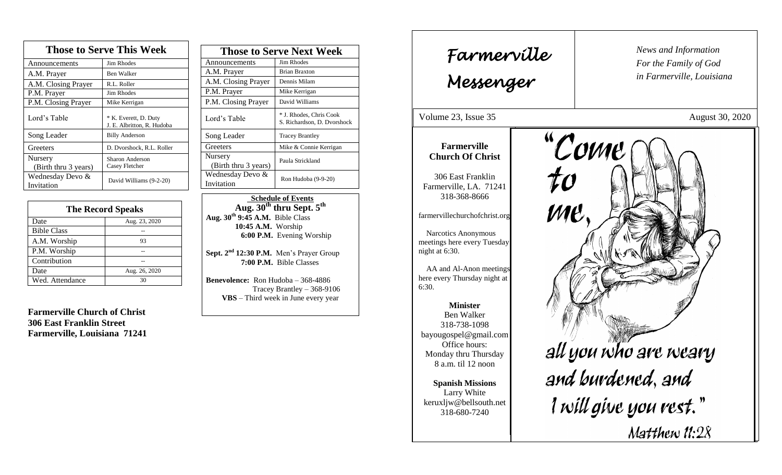| <b>Those to Serve This Week</b> |                                                     |  |
|---------------------------------|-----------------------------------------------------|--|
| Announcements                   | Jim Rhodes                                          |  |
| A.M. Prayer                     | Ben Walker                                          |  |
| A.M. Closing Prayer             | R.L. Roller                                         |  |
| P.M. Prayer                     | Jim Rhodes                                          |  |
| P.M. Closing Prayer             | Mike Kerrigan                                       |  |
| Lord's Table                    | * K. Everett, D. Duty<br>J. E. Albritton, R. Hudoba |  |
| Song Leader                     | <b>Billy Anderson</b>                               |  |
| Greeters                        | D. Dvorshock, R.L. Roller                           |  |
| Nursery<br>(Birth thru 3 years) | Sharon Anderson<br>Casey Fletcher                   |  |
| Wednesday Devo &<br>Invitation  | David Williams (9-2-20)                             |  |

| <b>The Record Speaks</b> |               |
|--------------------------|---------------|
| Date                     | Aug. 23, 2020 |
| <b>Bible Class</b>       |               |
| A.M. Worship             | 93            |
| P.M. Worship             |               |
| Contribution             |               |
| Date                     | Aug. 26, 2020 |
| Wed. Attendance          | 30            |

**Farmerville Church of Christ 306 East Franklin Street Farmerville, Louisiana 71241**

| <b>Those to Serve Next Week</b> |                                                        |
|---------------------------------|--------------------------------------------------------|
| Announcements                   | Jim Rhodes                                             |
| A.M. Prayer                     | <b>Brian Braxton</b>                                   |
| A.M. Closing Prayer             | Dennis Milam                                           |
| P.M. Prayer                     | Mike Kerrigan                                          |
| P.M. Closing Prayer             | David Williams                                         |
| Lord's Table                    | * J. Rhodes, Chris Cook<br>S. Richardson, D. Dvorshock |
| Song Leader                     | <b>Tracey Brantley</b>                                 |
| Greeters                        | Mike & Connie Kerrigan                                 |
| Nursery<br>(Birth thru 3 years) | Paula Strickland                                       |
| Wednesday Devo &<br>Invitation  | Ron Hudoba (9-9-20)                                    |

 **Schedule of Events Aug. 30th thru Sept. 5 th Aug. 30th 9:45 A.M.** Bible Class **10:45 A.M.** Worship  **6:00 P.M.** Evening Worship

**Sept. 2 nd 12:30 P.M.** Men's Prayer Group **7:00 P.M.** Bible Classes

**Benevolence:** Ron Hudoba – 368-4886 Tracey Brantley – 368-9106 **VBS** – Third week in June every year